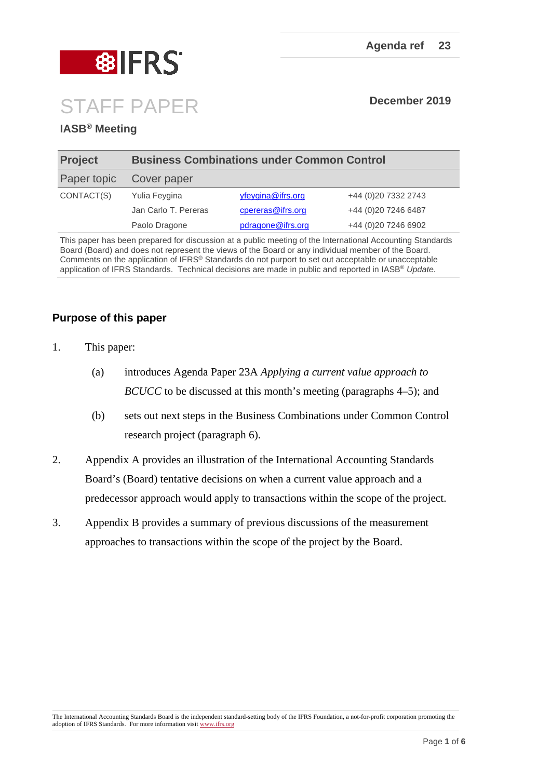

# STAFF PAPER **December <sup>2019</sup>**

#### **IASB® Meeting**

| <b>Business Combinations under Common Control</b> |                   |                      |
|---------------------------------------------------|-------------------|----------------------|
| Cover paper                                       |                   |                      |
| Yulia Feygina                                     | yfeygina@ifrs.org | +44 (0)20 7332 2743  |
| Jan Carlo T. Pereras                              | cpereras@ifrs.org | +44 (0)20 7246 6487  |
| Paolo Dragone                                     | pdragone@ifrs.org | +44 (0) 20 7246 6902 |
|                                                   |                   |                      |

This paper has been prepared for discussion at a public meeting of the International Accounting Standards Board (Board) and does not represent the views of the Board or any individual member of the Board. Comments on the application of IFRS® Standards do not purport to set out acceptable or unacceptable application of IFRS Standards. Technical decisions are made in public and reported in IASB® *Update*.

#### **Purpose of this paper**

- 1. This paper:
	- (a) introduces Agenda Paper 23A *Applying a current value approach to BCUCC* to be discussed at this month's meeting (paragraphs 4–5); and
	- (b) sets out next steps in the Business Combinations under Common Control research project (paragraph 6).
- 2. Appendix A provides an illustration of the International Accounting Standards Board's (Board) tentative decisions on when a current value approach and a predecessor approach would apply to transactions within the scope of the project.
- 3. Appendix B provides a summary of previous discussions of the measurement approaches to transactions within the scope of the project by the Board.

The International Accounting Standards Board is the independent standard-setting body of the IFRS Foundation, a not-for-profit corporation promoting the adoption of IFRS Standards. For more information visi[t www.ifrs.org](http://www.ifrs.org/)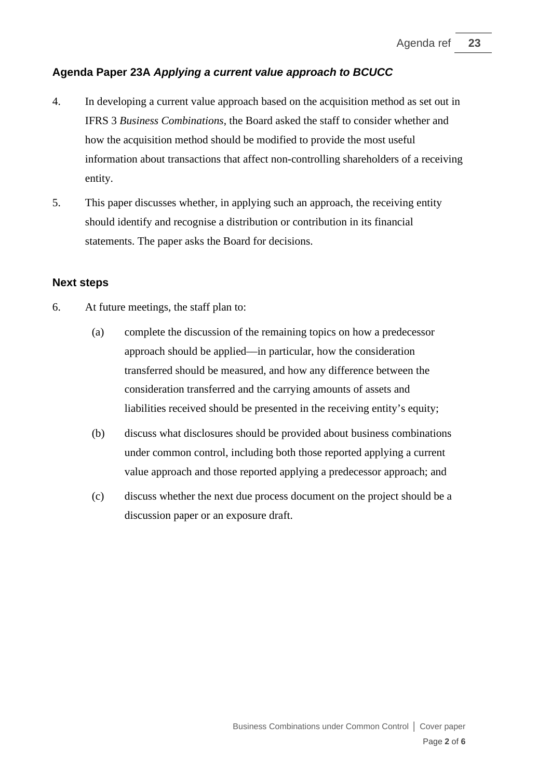#### **Agenda Paper 23A** *Applying a current value approach to BCUCC*

- 4. In developing a current value approach based on the acquisition method as set out in IFRS 3 *Business Combinations*, the Board asked the staff to consider whether and how the acquisition method should be modified to provide the most useful information about transactions that affect non-controlling shareholders of a receiving entity.
- 5. This paper discusses whether, in applying such an approach, the receiving entity should identify and recognise a distribution or contribution in its financial statements. The paper asks the Board for decisions.

#### **Next steps**

- 6. At future meetings, the staff plan to:
	- (a) complete the discussion of the remaining topics on how a predecessor approach should be applied––in particular, how the consideration transferred should be measured, and how any difference between the consideration transferred and the carrying amounts of assets and liabilities received should be presented in the receiving entity's equity;
	- (b) discuss what disclosures should be provided about business combinations under common control, including both those reported applying a current value approach and those reported applying a predecessor approach; and
	- (c) discuss whether the next due process document on the project should be a discussion paper or an exposure draft.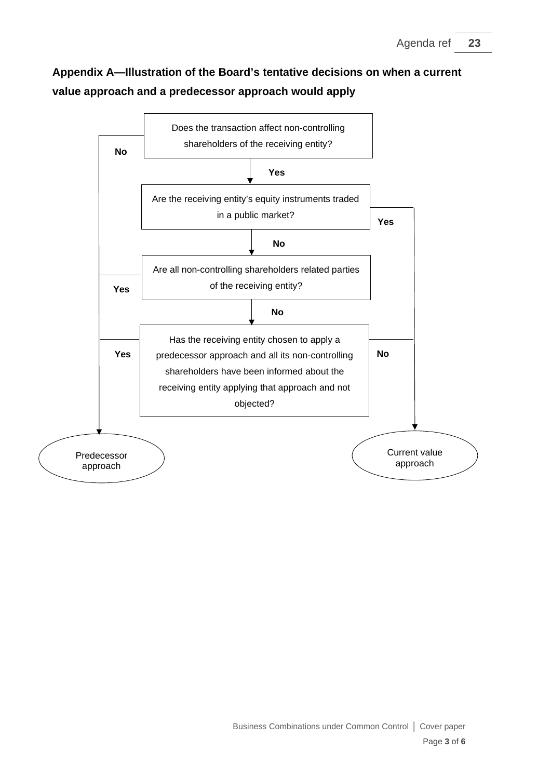## **Appendix A—Illustration of the Board's tentative decisions on when a current value approach and a predecessor approach would apply**

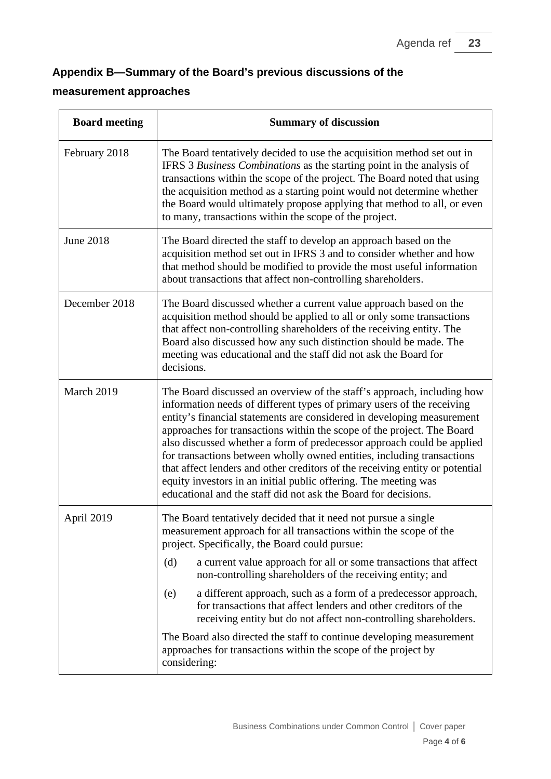### **Appendix B—Summary of the Board's previous discussions of the**

#### **measurement approaches**

| <b>Board meeting</b> | <b>Summary of discussion</b>                                                                                                                                                                                                                                                                                                                                                                                                                                                                                                                                                                                                                                                                              |  |
|----------------------|-----------------------------------------------------------------------------------------------------------------------------------------------------------------------------------------------------------------------------------------------------------------------------------------------------------------------------------------------------------------------------------------------------------------------------------------------------------------------------------------------------------------------------------------------------------------------------------------------------------------------------------------------------------------------------------------------------------|--|
| February 2018        | The Board tentatively decided to use the acquisition method set out in<br>IFRS 3 Business Combinations as the starting point in the analysis of<br>transactions within the scope of the project. The Board noted that using<br>the acquisition method as a starting point would not determine whether<br>the Board would ultimately propose applying that method to all, or even<br>to many, transactions within the scope of the project.                                                                                                                                                                                                                                                                |  |
| <b>June 2018</b>     | The Board directed the staff to develop an approach based on the<br>acquisition method set out in IFRS 3 and to consider whether and how<br>that method should be modified to provide the most useful information<br>about transactions that affect non-controlling shareholders.                                                                                                                                                                                                                                                                                                                                                                                                                         |  |
| December 2018        | The Board discussed whether a current value approach based on the<br>acquisition method should be applied to all or only some transactions<br>that affect non-controlling shareholders of the receiving entity. The<br>Board also discussed how any such distinction should be made. The<br>meeting was educational and the staff did not ask the Board for<br>decisions.                                                                                                                                                                                                                                                                                                                                 |  |
| March 2019           | The Board discussed an overview of the staff's approach, including how<br>information needs of different types of primary users of the receiving<br>entity's financial statements are considered in developing measurement<br>approaches for transactions within the scope of the project. The Board<br>also discussed whether a form of predecessor approach could be applied<br>for transactions between wholly owned entities, including transactions<br>that affect lenders and other creditors of the receiving entity or potential<br>equity investors in an initial public offering. The meeting was<br>educational and the staff did not ask the Board for decisions.                             |  |
| April 2019           | The Board tentatively decided that it need not pursue a single<br>measurement approach for all transactions within the scope of the<br>project. Specifically, the Board could pursue:<br>a current value approach for all or some transactions that affect<br>(d)<br>non-controlling shareholders of the receiving entity; and<br>a different approach, such as a form of a predecessor approach,<br>(e)<br>for transactions that affect lenders and other creditors of the<br>receiving entity but do not affect non-controlling shareholders.<br>The Board also directed the staff to continue developing measurement<br>approaches for transactions within the scope of the project by<br>considering: |  |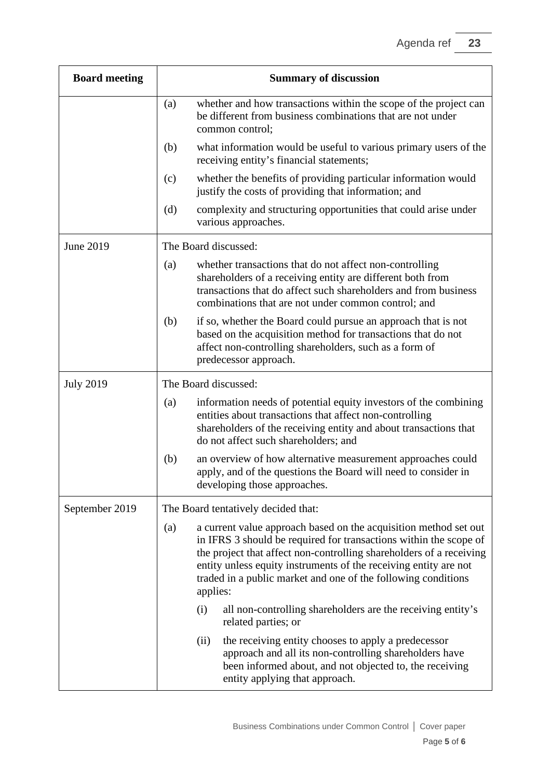| <b>Board meeting</b> | <b>Summary of discussion</b>                                                                                                                                                                                                                                                                                                                                                                                |                                                                                                                                                                                                                                                 |  |
|----------------------|-------------------------------------------------------------------------------------------------------------------------------------------------------------------------------------------------------------------------------------------------------------------------------------------------------------------------------------------------------------------------------------------------------------|-------------------------------------------------------------------------------------------------------------------------------------------------------------------------------------------------------------------------------------------------|--|
|                      | (a)                                                                                                                                                                                                                                                                                                                                                                                                         | whether and how transactions within the scope of the project can<br>be different from business combinations that are not under<br>common control;                                                                                               |  |
|                      | (b)                                                                                                                                                                                                                                                                                                                                                                                                         | what information would be useful to various primary users of the<br>receiving entity's financial statements;                                                                                                                                    |  |
|                      | (c)                                                                                                                                                                                                                                                                                                                                                                                                         | whether the benefits of providing particular information would<br>justify the costs of providing that information; and                                                                                                                          |  |
|                      | (d)                                                                                                                                                                                                                                                                                                                                                                                                         | complexity and structuring opportunities that could arise under<br>various approaches.                                                                                                                                                          |  |
| June 2019            | The Board discussed:                                                                                                                                                                                                                                                                                                                                                                                        |                                                                                                                                                                                                                                                 |  |
|                      | (a)                                                                                                                                                                                                                                                                                                                                                                                                         | whether transactions that do not affect non-controlling<br>shareholders of a receiving entity are different both from<br>transactions that do affect such shareholders and from business<br>combinations that are not under common control; and |  |
|                      | (b)                                                                                                                                                                                                                                                                                                                                                                                                         | if so, whether the Board could pursue an approach that is not<br>based on the acquisition method for transactions that do not<br>affect non-controlling shareholders, such as a form of<br>predecessor approach.                                |  |
| <b>July 2019</b>     | The Board discussed:                                                                                                                                                                                                                                                                                                                                                                                        |                                                                                                                                                                                                                                                 |  |
|                      | (a)                                                                                                                                                                                                                                                                                                                                                                                                         | information needs of potential equity investors of the combining<br>entities about transactions that affect non-controlling<br>shareholders of the receiving entity and about transactions that<br>do not affect such shareholders; and         |  |
|                      | (b)                                                                                                                                                                                                                                                                                                                                                                                                         | an overview of how alternative measurement approaches could<br>apply, and of the questions the Board will need to consider in<br>developing those approaches.                                                                                   |  |
| September 2019       | The Board tentatively decided that:<br>a current value approach based on the acquisition method set out<br>(a)<br>in IFRS 3 should be required for transactions within the scope of<br>the project that affect non-controlling shareholders of a receiving<br>entity unless equity instruments of the receiving entity are not<br>traded in a public market and one of the following conditions<br>applies: |                                                                                                                                                                                                                                                 |  |
|                      |                                                                                                                                                                                                                                                                                                                                                                                                             |                                                                                                                                                                                                                                                 |  |
|                      |                                                                                                                                                                                                                                                                                                                                                                                                             | (i)<br>all non-controlling shareholders are the receiving entity's<br>related parties; or                                                                                                                                                       |  |
|                      |                                                                                                                                                                                                                                                                                                                                                                                                             | the receiving entity chooses to apply a predecessor<br>(ii)<br>approach and all its non-controlling shareholders have<br>been informed about, and not objected to, the receiving<br>entity applying that approach.                              |  |